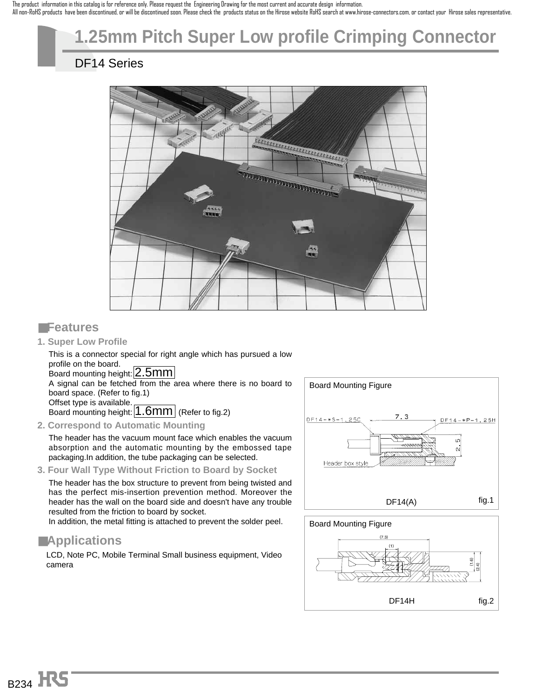The product information in this catalog is for reference only. Please request the Engineering Drawing for the most current and accurate design information. All non-RoHS products have been discontinued, or will be discontinued soon. Please check the products status on the Hirose website RoHS search at www.hirose-connectors.com, or contact your Hirose sales representative.

# **1.25mm Pitch Super Low profile Crimping Connector**

## DF14 Series



#### ■**Features**

**1. Super Low Profile**

This is a connector special for right angle which has pursued a low profile on the board.

Board mounting height: 2.5mm

A signal can be fetched from the area where there is no board to board space. (Refer to fig.1)

Offset type is available. Board mounting height:  $1.6$ mm (Refer to fig.2)

**2. Correspond to Automatic Mounting**

The header has the vacuum mount face which enables the vacuum absorption and the automatic mounting by the embossed tape packaging.In addition, the tube packaging can be selected.

**3. Four Wall Type Without Friction to Board by Socket**

The header has the box structure to prevent from being twisted and has the perfect mis-insertion prevention method. Moreover the header has the wall on the board side and doesn't have any trouble resulted from the friction to board by socket.

In addition, the metal fitting is attached to prevent the solder peel.

### ■**Applications**

LCD, Note PC, Mobile Terminal Small business equipment, Video camera



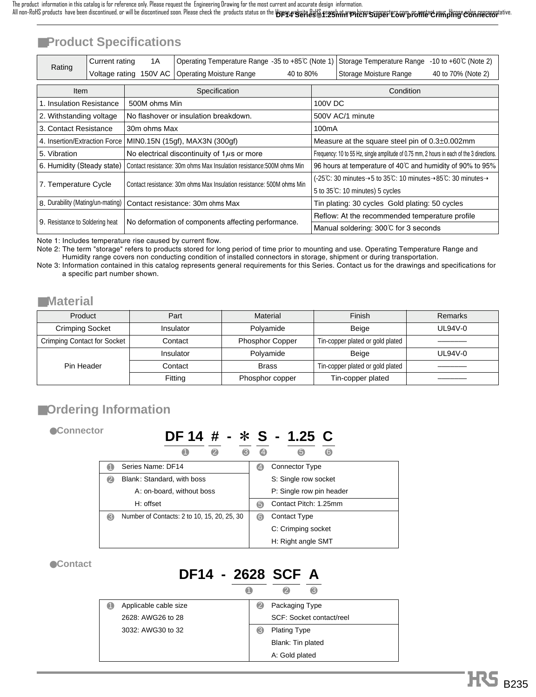## ■**Product Specifications**

| Rating                                                          | Current rating<br>1A<br>Operating Temperature Range -35 to +85℃ (Note 1) |                                                                       | -10 to $+60^{\circ}$ (Note 2)<br>Storage Temperature Range            |                                                     |                                                                                                     |                        |                    |  |
|-----------------------------------------------------------------|--------------------------------------------------------------------------|-----------------------------------------------------------------------|-----------------------------------------------------------------------|-----------------------------------------------------|-----------------------------------------------------------------------------------------------------|------------------------|--------------------|--|
|                                                                 |                                                                          | Voltage rating 150V AC                                                | <b>Operating Moisture Range</b>                                       | 40 to 80%                                           |                                                                                                     | Storage Moisture Range | 40 to 70% (Note 2) |  |
|                                                                 |                                                                          |                                                                       |                                                                       |                                                     |                                                                                                     |                        |                    |  |
| Item                                                            |                                                                          |                                                                       | Specification                                                         |                                                     |                                                                                                     | Condition              |                    |  |
| 1. Insulation Resistance                                        |                                                                          | 500M ohms Min                                                         |                                                                       |                                                     | 100V DC                                                                                             |                        |                    |  |
| 2. Withstanding voltage                                         |                                                                          |                                                                       | No flashover or insulation breakdown.                                 |                                                     |                                                                                                     | 500V AC/1 minute       |                    |  |
|                                                                 | 3. Contact Resistance<br>30m ohms Max                                    |                                                                       |                                                                       |                                                     | 100mA                                                                                               |                        |                    |  |
| MIN0.15N (15gf), MAX3N (300gf)<br>4. Insertion/Extraction Force |                                                                          |                                                                       |                                                                       | Measure at the square steel pin of $0.3\pm0.002$ mm |                                                                                                     |                        |                    |  |
| 5. Vibration                                                    |                                                                          |                                                                       | No electrical discontinuity of $1\mu s$ or more                       |                                                     | Frequency: 10 to 55 Hz, single amplitude of 0.75 mm, 2 hours in each of the 3 directions.           |                        |                    |  |
| 6. Humidity (Steady state)                                      |                                                                          |                                                                       | Contact resistance: 30m ohms Max Insulation resistance: 500M ohms Min |                                                     | 96 hours at temperature of 40°C and humidity of 90% to 95%                                          |                        |                    |  |
|                                                                 |                                                                          |                                                                       |                                                                       |                                                     | (-25°C: 30 minutes $\rightarrow$ 5 to 35°C: 10 minutes $\rightarrow$ 85°C: 30 minutes $\rightarrow$ |                        |                    |  |
| 7. Temperature Cycle                                            |                                                                          | Contact resistance: 30m ohms Max Insulation resistance: 500M ohms Min |                                                                       |                                                     | 5 to 35°C: 10 minutes) 5 cycles                                                                     |                        |                    |  |
| 8. Durability (Mating/un-mating)                                |                                                                          |                                                                       | Contact resistance: 30m ohms Max                                      |                                                     | Tin plating: 30 cycles Gold plating: 50 cycles                                                      |                        |                    |  |
|                                                                 |                                                                          |                                                                       |                                                                       | Reflow: At the recommended temperature profile      |                                                                                                     |                        |                    |  |
| 9. Resistance to Soldering heat                                 |                                                                          | No deformation of components affecting performance.                   |                                                                       |                                                     | Manual soldering: 300°C for 3 seconds                                                               |                        |                    |  |

Note 1: Includes temperature rise caused by current flow.

Note 2: The term "storage" refers to products stored for long period of time prior to mounting and use. Operating Temperature Range and Humidity range covers non conducting condition of installed connectors in storage, shipment or during transportation.

Note 3: Information contained in this catalog represents general requirements for this Series. Contact us for the drawings and specifications for a specific part number shown.

#### ■**Material**

| Product                            | Part                              | Material        | Finish                           | Remarks |
|------------------------------------|-----------------------------------|-----------------|----------------------------------|---------|
| <b>Crimping Socket</b>             | Insulator                         | Polvamide       | Beige                            | UL94V-0 |
| <b>Crimping Contact for Socket</b> | <b>Phosphor Copper</b><br>Contact |                 | Tin-copper plated or gold plated |         |
|                                    | Insulator                         | Polyamide       | Beige                            | UL94V-0 |
| Pin Header                         | Contact                           | <b>Brass</b>    | Tin-copper plated or gold plated |         |
|                                    | Fitting                           | Phosphor copper | Tin-copper plated                |         |

## ■**Ordering Information**

●**Connector**

## **DF 14 # -** \* **S - 1.25 C**

|   |                                             |    | 6<br>6                   |
|---|---------------------------------------------|----|--------------------------|
|   | Series Name: DF14                           | ŒJ | Connector Type           |
|   | Blank: Standard, with boss                  |    | S: Single row socket     |
|   | A: on-board, without boss                   |    | P: Single row pin header |
|   | H: offset                                   | 6  | Contact Pitch: 1.25mm    |
| G | Number of Contacts: 2 to 10, 15, 20, 25, 30 | 6  | Contact Type             |
|   |                                             |    | C: Crimping socket       |
|   |                                             |    | H: Right angle SMT       |

●**Contact**

#### **DF14 - 2628 SCF A**  $\overline{a}$   $\overline{a}$   $\overline{a}$

| Applicable cable size | Packaging Type<br>2      |
|-----------------------|--------------------------|
| 2628: AWG26 to 28     | SCF: Socket contact/reel |
| 3032: AWG30 to 32     | B<br><b>Plating Type</b> |
|                       | Blank: Tin plated        |
|                       | A: Gold plated           |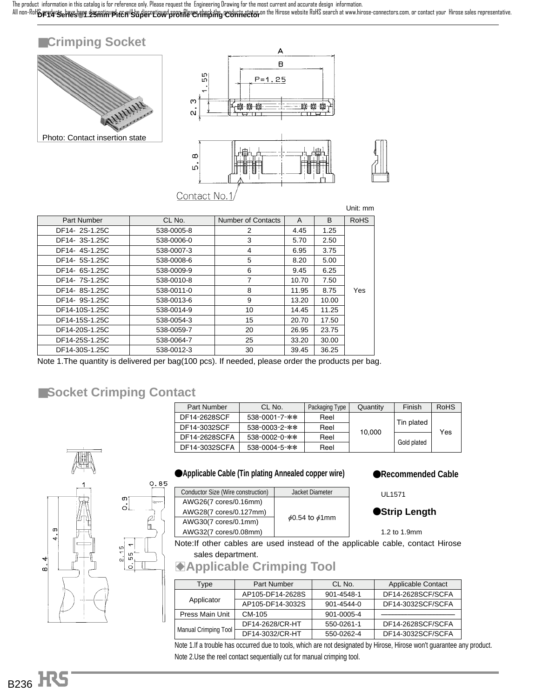All non-RoH**&pradu&ehaus.hem SzmimupirCMU&djerntiowd protrile eerinrbing redvrisetior** on the Hirose website RoHS search at www.hirose-connectors.com, or contact your Hirose sales representative. The product information in this catalog is for reference only. Please request the Engineering Drawing for the most current and accurate design information.



|                |            |                           |       |              | Unit: mm    |
|----------------|------------|---------------------------|-------|--------------|-------------|
| Part Number    | CL No.     | <b>Number of Contacts</b> | A     | <sub>B</sub> | <b>RoHS</b> |
| DF14-2S-1.25C  | 538-0005-8 | 2                         | 4.45  | 1.25         |             |
| DF14-3S-1.25C  | 538-0006-0 | 3                         | 5.70  | 2.50         |             |
| DF14-4S-1.25C  | 538-0007-3 | 4                         | 6.95  | 3.75         |             |
| DF14-5S-1.25C  | 538-0008-6 | 5                         | 8.20  | 5.00         |             |
| DF14-6S-1.25C  | 538-0009-9 | 6                         | 9.45  | 6.25         |             |
| DF14-7S-1.25C  | 538-0010-8 | 7                         | 10.70 | 7.50         |             |
| DF14-8S-1.25C  | 538-0011-0 | 8                         | 11.95 | 8.75         | Yes         |
| DF14-9S-1.25C  | 538-0013-6 | 9                         | 13.20 | 10.00        |             |
| DF14-10S-1.25C | 538-0014-9 | 10                        | 14.45 | 11.25        |             |
| DF14-15S-1.25C | 538-0054-3 | 15                        | 20.70 | 17.50        |             |
| DF14-20S-1.25C | 538-0059-7 | 20                        | 26.95 | 23.75        |             |
| DF14-25S-1.25C | 538-0064-7 | 25                        | 33.20 | 30.00        |             |
| DF14-30S-1.25C | 538-0012-3 | 30                        | 39.45 | 36.25        |             |

Note 1.The quantity is delivered per bag(100 pcs). If needed, please order the products per bag.

#### ■**Socket Crimping Contact**

 $0.85$ 

 $\varphi$ b

| Part Number   | CL No.                | Packaging Type | Quantity | Finish      | <b>RoHS</b> |  |
|---------------|-----------------------|----------------|----------|-------------|-------------|--|
| DF14-2628SCF  | 538-0001-7-**         | Reel           |          | Tin plated  |             |  |
| DF14-3032SCF  | $538 - 0003 - 2 -$ ** | Reel           |          |             | Yes         |  |
| DF14-2628SCFA | $538 - 0002 - 0 -$ ** | Reel           | 10.000   |             |             |  |
| DF14-3032SCFA | $538 - 0004 - 5 -$ ** | Reel           |          | Gold plated |             |  |



#### **Applicable Cable (Tin plating Annealed copper wire)**

| Conductor Size (Wire construction) | Jacket Diameter           |  |  |
|------------------------------------|---------------------------|--|--|
| AWG26(7 cores/0.16mm)              |                           |  |  |
| AWG28(7 cores/0.127mm)             | $\phi$ 0.54 to $\phi$ 1mm |  |  |
| AWG30(7 cores/0.1mm)               |                           |  |  |
| AWG32(7 cores/0.08mm)              |                           |  |  |

K**Recommended Cable**

UL1571

#### **Strip Length**

1.2 to 1.9mm

Note:If other cables are used instead of the applicable cable, contact Hirose sales department.

## **Applicable Crimping Tool**

| <b>Type</b>          | <b>Part Number</b> | CL No.     | <b>Applicable Contact</b> |
|----------------------|--------------------|------------|---------------------------|
|                      | AP105-DF14-2628S   | 901-4548-1 | DF14-2628SCF/SCFA         |
| Applicator           | AP105-DF14-3032S   | 901-4544-0 | DF14-3032SCF/SCFA         |
| Press Main Unit      | CM-105             | 901-0005-4 |                           |
|                      | DF14-2628/CR-HT    | 550-0261-1 | DF14-2628SCF/SCFA         |
| Manual Crimping Tool | DF14-3032/CR-HT    | 550-0262-4 | DF14-3032SCF/SCFA         |

Note 1.If a trouble has occurred due to tools, which are not designated by Hirose, Hirose won't guarantee any product. Note 2.Use the reel contact sequentially cut for manual crimping tool.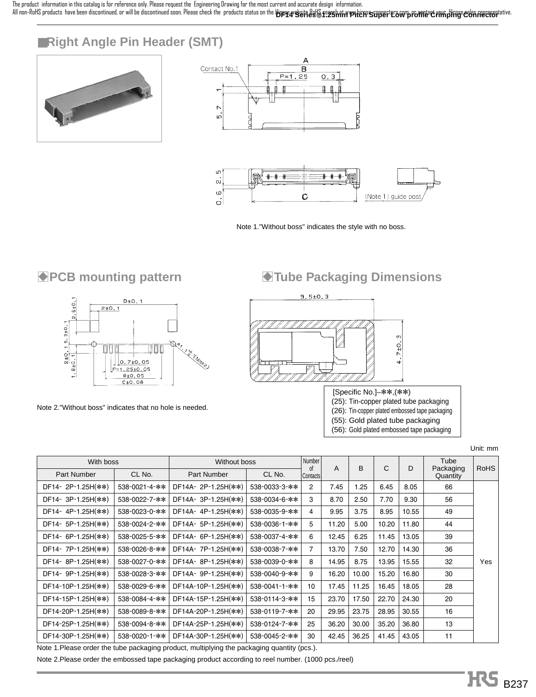All non-RoHS products have been discontinued, or will be discontinued soon. Please check the products status on the **Hypse4<sup>v</sup>Seifiest's fe2shahnverkichs Stipief transprompfoffier CXPH Hings cash frecreptative.** The product information in this catalog is for reference only. Please request the Engineering Drawing for the most current and accurate design information.

## ■**Right Angle Pin Header (SMT)**







Note 1."Without boss" indicates the style with no boss.



Note 2."Without boss" indicates that no hole is needed.

## **B**PCB mounting pattern **B**Tube Packaging Dimensions



[Specific No.]–\*\*,(\*\*) (25): Tin-copper plated tube packaging (26): Tin-copper plated embossed tape packaging (55): Gold plated tube packaging (56): Gold plated embossed tape packaging

Unit: mm

| With boss          |               | Without boss        |               | Number<br>A<br>0f |       | B     |       |       | Tube                  |             |
|--------------------|---------------|---------------------|---------------|-------------------|-------|-------|-------|-------|-----------------------|-------------|
| Part Number        | CL No.        | <b>Part Number</b>  | CL No.        | <b>Contacts</b>   |       |       | C     | D     | Packaging<br>Quantity | <b>RoHS</b> |
| DF14-2P-1.25H(**)  | 538-0021-4-** | DF14A-2P-1.25H(**)  | 538-0033-3-** | 2                 | 7.45  | 1.25  | 6.45  | 8.05  | 66                    |             |
| DF14-3P-1.25H(**)  | 538-0022-7-** | DF14A-3P-1.25H(**)  | 538-0034-6-** | 3                 | 8.70  | 2.50  | 7.70  | 9.30  | 56                    |             |
| DF14-4P-1.25H(**)  | 538-0023-0-** | DF14A-4P-1.25H(**)  | 538-0035-9-** | 4                 | 9.95  | 3.75  | 8.95  | 10.55 | 49                    |             |
| DF14- 5P-1.25H(**) | 538-0024-2-** | DF14A- 5P-1.25H(**) | 538-0036-1-** | 5                 | 11.20 | 5.00  | 10.20 | 11.80 | 44                    |             |
| DF14- 6P-1.25H(**) | 538-0025-5-** | DF14A- 6P-1.25H(**) | 538-0037-4-** | 6                 | 12.45 | 6.25  | 11.45 | 13.05 | 39                    |             |
| DF14-7P-1.25H(**)  | 538-0026-8-** | DF14A-7P-1.25H(**)  | 538-0038-7-** | 7                 | 13.70 | 7.50  | 12.70 | 14.30 | 36                    |             |
| DF14-8P-1.25H(**)  | 538-0027-0-** | DF14A-8P-1.25H(**)  | 538-0039-0-** | 8                 | 14.95 | 8.75  | 13.95 | 15.55 | 32                    | Yes         |
| DF14- 9P-1.25H(**) | 538-0028-3-** | DF14A- 9P-1.25H(**) | 538-0040-9-** | 9                 | 16.20 | 10.00 | 15.20 | 16.80 | 30                    |             |
| DF14-10P-1.25H(**) | 538-0029-6-** | DF14A-10P-1.25H(**) | 538-0041-1-** | 10                | 17.45 | 11.25 | 16.45 | 18.05 | 28                    |             |
| DF14-15P-1.25H(**) | 538-0084-4-** | DF14A-15P-1.25H(**) | 538-0114-3-** | 15                | 23.70 | 17.50 | 22.70 | 24.30 | 20                    |             |
| DF14-20P-1.25H(**) | 538-0089-8-** | DF14A-20P-1.25H(**) | 538-0119-7-** | 20                | 29.95 | 23.75 | 28.95 | 30.55 | 16                    |             |
| DF14-25P-1.25H(**) | 538-0094-8-** | DF14A-25P-1.25H(**) | 538-0124-7-** | 25                | 36.20 | 30.00 | 35.20 | 36.80 | 13                    |             |
| DF14-30P-1.25H(**) | 538-0020-1-** | DF14A-30P-1.25H(**) | 538-0045-2-** | 30                | 42.45 | 36.25 | 41.45 | 43.05 | 11                    |             |

Note 1.Please order the tube packaging product, multiplying the packaging quantity (pcs.).

Note 2.Please order the embossed tape packaging product according to reel number. (1000 pcs./reel)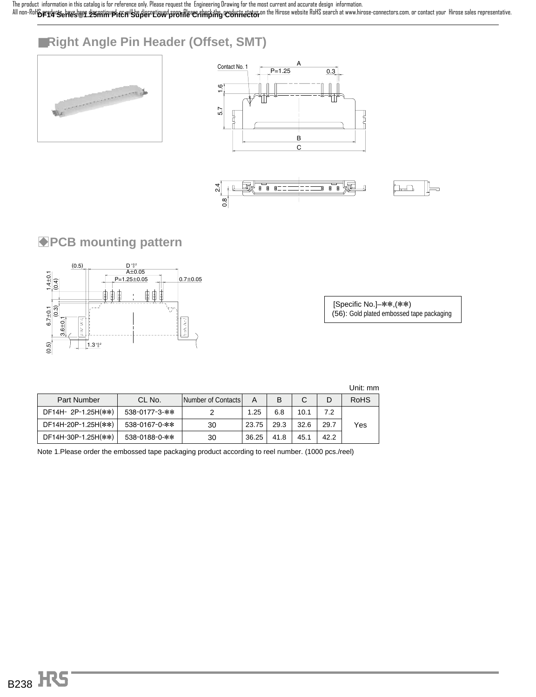**DF14 Series**●**1.25mm Pitch Super Low profile Crimping Connector** The product information in this catalog is for reference only. Please request the Engineering Drawing for the most current and accurate design information. All non-RoHS products have been decontinued, or will be discontinued, sport-Please check the products status on the Hirose website RoHS search at www.hirose-connectors.com, or contact your Hirose sales representative.

## ■**Right Angle Pin Header (Offset, SMT)**







### **PCB mounting pattern**



[Specific No.]–\*\*,(\*\*) (56): Gold plated embossed tape packaging

|                     |               |                    |       |      |      |      | Unit: mm    |
|---------------------|---------------|--------------------|-------|------|------|------|-------------|
| <b>Part Number</b>  | CL No.        | Number of Contacts | А     |      | C    | D    | <b>RoHS</b> |
| DF14H-2P-1.25H(**)  | 538-0177-3-** |                    | 1.25  | 6.8  | 10.1 | 7.2  |             |
| DF14H-20P-1.25H(**) | 538-0167-0-** | 30                 | 23.75 | 29.3 | 32.6 | 29.7 | Yes         |
| DF14H-30P-1.25H(**) | 538-0188-0-** | 30                 | 36.25 | 41.8 | 45.1 | 42.2 |             |

Note 1.Please order the embossed tape packaging product according to reel number. (1000 pcs./reel)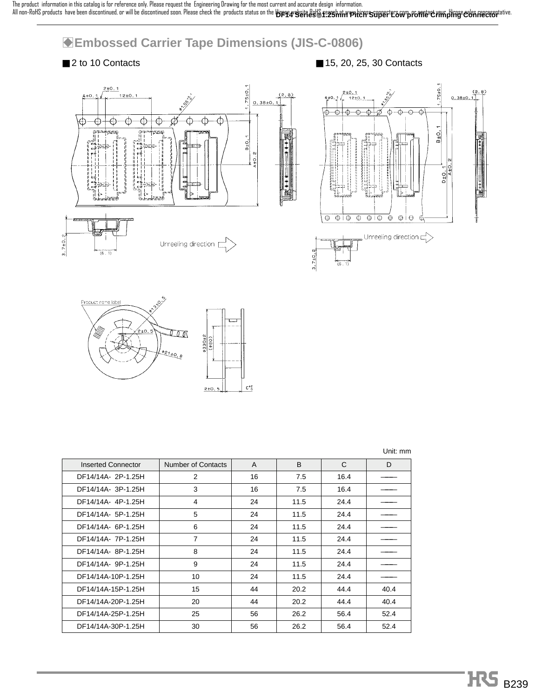## **GEmbossed Carrier Tape Dimensions (JIS-C-0806)**









| <b>Inserted Connector</b> | Number of Contacts | A  | B    | C    | D    |
|---------------------------|--------------------|----|------|------|------|
| DF14/14A- 2P-1.25H        | 2                  | 16 | 7.5  | 16.4 |      |
| DF14/14A- 3P-1.25H        | 3                  | 16 | 7.5  | 16.4 |      |
| DF14/14A-4P-1.25H         | 4                  | 24 | 11.5 | 24.4 |      |
| DF14/14A- 5P-1.25H        | 5                  | 24 | 11.5 | 24.4 |      |
| DF14/14A- 6P-1.25H        | 6                  | 24 | 11.5 | 24.4 |      |
| DF14/14A-7P-1.25H         | $\overline{7}$     | 24 | 11.5 | 24.4 |      |
| DF14/14A-8P-1.25H         | 8                  | 24 | 11.5 | 24.4 |      |
| DF14/14A- 9P-1.25H        | 9                  | 24 | 11.5 | 24.4 |      |
| DF14/14A-10P-1.25H        | 10                 | 24 | 11.5 | 24.4 |      |
| DF14/14A-15P-1.25H        | 15                 | 44 | 20.2 | 44.4 | 40.4 |
| DF14/14A-20P-1.25H        | 20                 | 44 | 20.2 | 44.4 | 40.4 |
| DF14/14A-25P-1.25H        | 25                 | 56 | 26.2 | 56.4 | 52.4 |
| DF14/14A-30P-1.25H        | 30                 | 56 | 26.2 | 56.4 | 52.4 |

| Unit: mm |  |
|----------|--|
|          |  |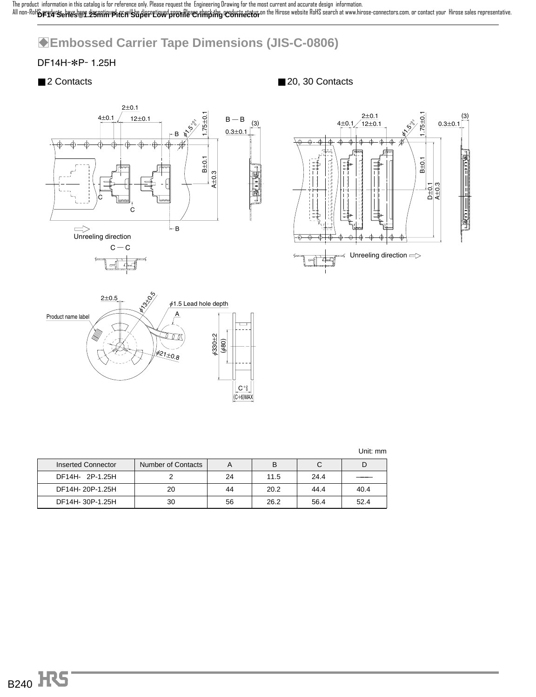**DF14 Series**●**1.25mm Pitch Super Low profile Crimping Connector** The product information in this catalog is for reference only. Please request the Engineering Drawing for the most current and accurate design information. All non-RoHS products have been decontinued, or will be discontinued, sport-Please check the products status on the Hirose website RoHS search at www.hirose-connectors.com, or contact your Hirose sales representative.

## B**Embossed Carrier Tape Dimensions (JIS-C-0806)**

#### DF14H-\*P- 1.25H

■ 2 Contacts ■ 20, 30 Contacts







|  |  |  | $\begin{array}{c}\n C^+ \\  \hline\n C^+ \\  (C+6)\hline\n \end{array}$ |
|--|--|--|-------------------------------------------------------------------------|
|  |  |  |                                                                         |
|  |  |  |                                                                         |
|  |  |  |                                                                         |
|  |  |  |                                                                         |

| Inserted Connector | Number of Contacts |    | B    |      |      |
|--------------------|--------------------|----|------|------|------|
| DF14H- 2P-1.25H    |                    | 24 | 11.5 | 24.4 |      |
| DF14H-20P-1.25H    | 20                 | 44 | 20.2 | 44.4 | 40.4 |
| DF14H-30P-1.25H    | 30                 | 56 | 26.2 | 56.4 | 52.4 |